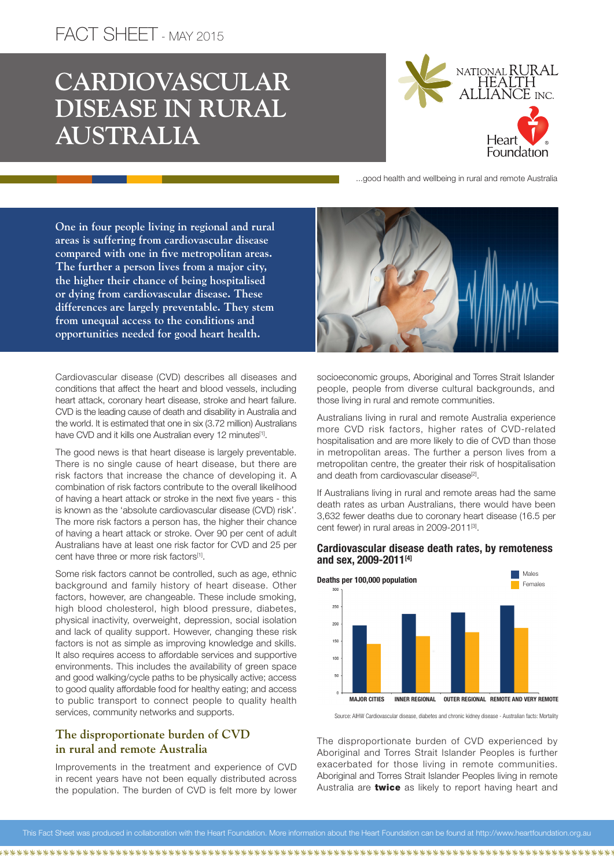# FACT SHEET - MAY 2015

# **CARDIOVASCULAR DISEASE IN RURAL AUSTRALIA**



...good health and wellbeing in rural and remote Australia

**One in four people living in regional and rural areas is suffering from cardiovascular disease compared with one in five metropolitan areas. The further a person lives from a major city, the higher their chance of being hospitalised or dying from cardiovascular disease. These differences are largely preventable. They stem from unequal access to the conditions and opportunities needed for good heart health.** 

Cardiovascular disease (CVD) describes all diseases and conditions that affect the heart and blood vessels, including heart attack, coronary heart disease, stroke and heart failure. CVD is the leading cause of death and disability in Australia and the world. It is estimated that one in six (3.72 million) Australians have CVD and it kills one Australian every 12 minutes<sup>[1]</sup>.

The good news is that heart disease is largely preventable. There is no single cause of heart disease, but there are risk factors that increase the chance of developing it. A combination of risk factors contribute to the overall likelihood of having a heart attack or stroke in the next five years - this is known as the 'absolute cardiovascular disease (CVD) risk'. The more risk factors a person has, the higher their chance of having a heart attack or stroke. Over 90 per cent of adult Australians have at least one risk factor for CVD and 25 per cent have three or more risk factors<sup>[1]</sup>.

Some risk factors cannot be controlled, such as age, ethnic background and family history of heart disease. Other factors, however, are changeable. These include smoking, high blood cholesterol, high blood pressure, diabetes, physical inactivity, overweight, depression, social isolation and lack of quality support. However, changing these risk factors is not as simple as improving knowledge and skills. It also requires access to affordable services and supportive environments. This includes the availability of green space and good walking/cycle paths to be physically active; access to good quality affordable food for healthy eating; and access to public transport to connect people to quality health services, community networks and supports.

## **The disproportionate burden of CVD in rural and remote Australia**

Improvements in the treatment and experience of CVD in recent years have not been equally distributed across the population. The burden of CVD is felt more by lower



socioeconomic groups, Aboriginal and Torres Strait Islander people, people from diverse cultural backgrounds, and those living in rural and remote communities.

Australians living in rural and remote Australia experience more CVD risk factors, higher rates of CVD-related hospitalisation and are more likely to die of CVD than those in metropolitan areas. The further a person lives from a metropolitan centre, the greater their risk of hospitalisation and death from cardiovascular disease<sup>[2]</sup>.

If Australians living in rural and remote areas had the same death rates as urban Australians, there would have been 3,632 fewer deaths due to coronary heart disease (16.5 per cent fewer) in rural areas in 2009-2011<sup>[3]</sup>.

#### Cardiovascular disease death rates, by remoteness and sex, 2009-2011[4]



Source: AIHW Cardiovascular disease, diabetes and chronic kidney disease - Australian facts: Mortality

The disproportionate burden of CVD experienced by Aboriginal and Torres Strait Islander Peoples is further exacerbated for those living in remote communities. Aboriginal and Torres Strait Islander Peoples living in remote Australia are **twice** as likely to report having heart and